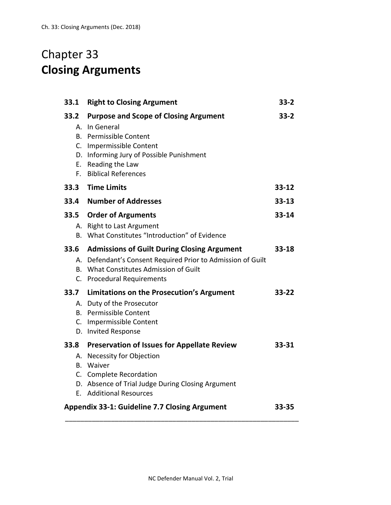## Chapter 33 **Closing Arguments**

| 33.1                                                 | <b>Right to Closing Argument</b>                                                                                                                                                                                 | $33 - 2$  |
|------------------------------------------------------|------------------------------------------------------------------------------------------------------------------------------------------------------------------------------------------------------------------|-----------|
| 33.2<br>А.<br>D.                                     | <b>Purpose and Scope of Closing Argument</b><br>In General<br><b>B.</b> Permissible Content<br>C. Impermissible Content<br>Informing Jury of Possible Punishment<br>E. Reading the Law<br>F. Biblical References | $33 - 2$  |
| 33.3                                                 | <b>Time Limits</b>                                                                                                                                                                                               | $33 - 12$ |
|                                                      | 33.4 Number of Addresses                                                                                                                                                                                         | $33 - 13$ |
| 33.5                                                 | <b>Order of Arguments</b><br>A. Right to Last Argument<br>B. What Constitutes "Introduction" of Evidence                                                                                                         | $33 - 14$ |
| 33.6                                                 | <b>Admissions of Guilt During Closing Argument</b><br>A. Defendant's Consent Required Prior to Admission of Guilt<br>B. What Constitutes Admission of Guilt<br>C. Procedural Requirements                        | $33 - 18$ |
|                                                      | 33.7 Limitations on the Prosecution's Argument<br>A. Duty of the Prosecutor<br><b>B.</b> Permissible Content<br>C. Impermissible Content<br>D. Invited Response                                                  | 33-22     |
| 33.8<br>А.<br>В.                                     | <b>Preservation of Issues for Appellate Review</b><br><b>Necessity for Objection</b><br>Waiver<br>C. Complete Recordation<br>D. Absence of Trial Judge During Closing Argument<br>E. Additional Resources        | 33-31     |
| <b>Appendix 33-1: Guideline 7.7 Closing Argument</b> |                                                                                                                                                                                                                  | 33-35     |